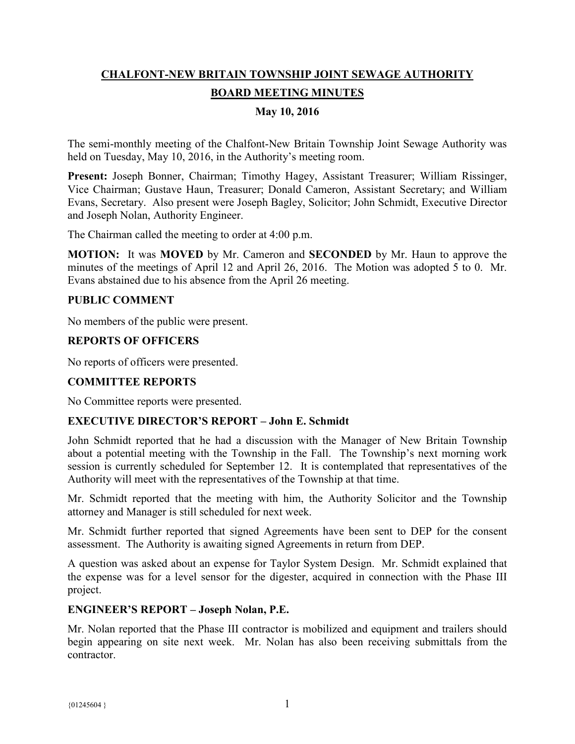# **CHALFONT-NEW BRITAIN TOWNSHIP JOINT SEWAGE AUTHORITY BOARD MEETING MINUTES**

# **May 10, 2016**

The semi-monthly meeting of the Chalfont-New Britain Township Joint Sewage Authority was held on Tuesday, May 10, 2016, in the Authority's meeting room.

**Present:** Joseph Bonner, Chairman; Timothy Hagey, Assistant Treasurer; William Rissinger, Vice Chairman; Gustave Haun, Treasurer; Donald Cameron, Assistant Secretary; and William Evans, Secretary. Also present were Joseph Bagley, Solicitor; John Schmidt, Executive Director and Joseph Nolan, Authority Engineer.

The Chairman called the meeting to order at 4:00 p.m.

**MOTION:** It was **MOVED** by Mr. Cameron and **SECONDED** by Mr. Haun to approve the minutes of the meetings of April 12 and April 26, 2016. The Motion was adopted 5 to 0. Mr. Evans abstained due to his absence from the April 26 meeting.

#### **PUBLIC COMMENT**

No members of the public were present.

# **REPORTS OF OFFICERS**

No reports of officers were presented.

# **COMMITTEE REPORTS**

No Committee reports were presented.

# **EXECUTIVE DIRECTOR'S REPORT – John E. Schmidt**

John Schmidt reported that he had a discussion with the Manager of New Britain Township about a potential meeting with the Township in the Fall. The Township's next morning work session is currently scheduled for September 12. It is contemplated that representatives of the Authority will meet with the representatives of the Township at that time.

Mr. Schmidt reported that the meeting with him, the Authority Solicitor and the Township attorney and Manager is still scheduled for next week.

Mr. Schmidt further reported that signed Agreements have been sent to DEP for the consent assessment. The Authority is awaiting signed Agreements in return from DEP.

A question was asked about an expense for Taylor System Design. Mr. Schmidt explained that the expense was for a level sensor for the digester, acquired in connection with the Phase III project.

#### **ENGINEER'S REPORT – Joseph Nolan, P.E.**

Mr. Nolan reported that the Phase III contractor is mobilized and equipment and trailers should begin appearing on site next week. Mr. Nolan has also been receiving submittals from the contractor.